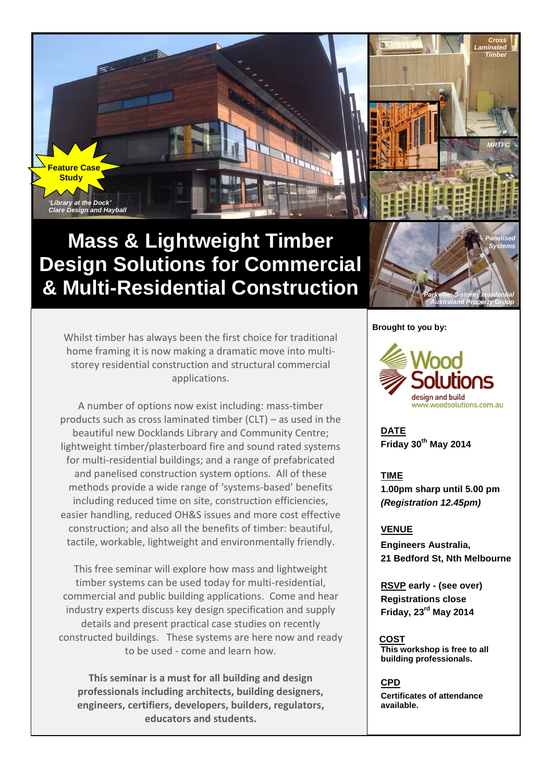

# **Mass & Lightweight Timber Design Solutions for Commercial & Multi-Residential Construction**

Whilst timber has always been the first choice for traditional home framing it is now making a dramatic move into multistorey residential construction and structural commercial applications.

A number of options now exist including: mass-timber products such as cross laminated timber (CLT) – as used in the beautiful new Docklands Library and Community Centre; lightweight timber/plasterboard fire and sound rated systems for multi-residential buildings; and a range of prefabricated and panelised construction system options. All of these methods provide a wide range of 'systems-based' benefits including reduced time on site, construction efficiencies, easier handling, reduced OH&S issues and more cost effective construction; and also all the benefits of timber: beautiful, tactile, workable, lightweight and environmentally friendly.

This free seminar will explore how mass and lightweight timber systems can be used today for multi-residential, commercial and public building applications. Come and hear industry experts discuss key design specification and supply details and present practical case studies on recently constructed buildings. These systems are here now and ready to be used - come and learn how.

**This seminar is a must for all building and design professionals including architects, building designers, engineers, certifiers, developers, builders, regulators, educators and students.**

#### **Brought to you by:**



*Parkville: 5-storey residential Australand Property Group*

*Panelised Systems*

**DATE Friday 30th May 2014** 

**TIME 1.00pm sharp until 5.00 pm** *(Registration 12.45pm)*

#### **VENUE**

**Engineers Australia, 21 Bedford St, Nth Melbourne**

**RSVP early - (see over) Registrations close Friday, 23rd May 2014** 

 **COST This workshop is free to all building professionals.**

#### **CPD**

**Certificates of attendance available.**